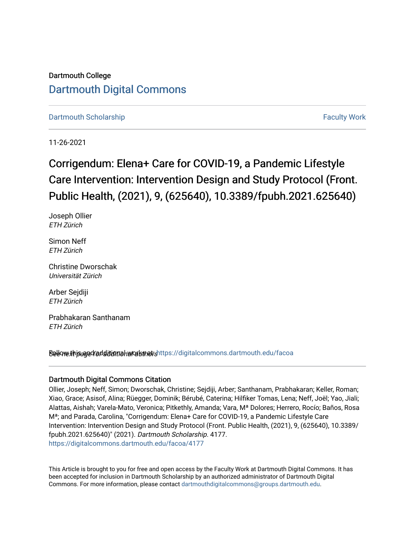## Dartmouth College [Dartmouth Digital Commons](https://digitalcommons.dartmouth.edu/)

[Dartmouth Scholarship](https://digitalcommons.dartmouth.edu/facoa) [Faculty Work](https://digitalcommons.dartmouth.edu/faculty) and The Basic Scholarship Faculty Work

11-26-2021

# Corrigendum: Elena+ Care for COVID-19, a Pandemic Lifestyle Care Intervention: Intervention Design and Study Protocol (Front. Public Health, (2021), 9, (625640), 10.3389/fpubh.2021.625640)

Joseph Ollier ETH Zürich

Simon Neff ETH Zürich

Christine Dworschak Universität Zürich

Arber Sejdiji ETH Zürich

Prabhakaran Santhanam ETH Zürich

Sellow this and fadditional works and the still digital commons.dartmouth.edu/facoa

### Dartmouth Digital Commons Citation

Ollier, Joseph; Neff, Simon; Dworschak, Christine; Sejdiji, Arber; Santhanam, Prabhakaran; Keller, Roman; Xiao, Grace; Asisof, Alina; Rüegger, Dominik; Bérubé, Caterina; Hilfiker Tomas, Lena; Neff, Joël; Yao, Jiali; Alattas, Aishah; Varela-Mato, Veronica; Pitkethly, Amanda; Vara, Mª Dolores; Herrero, Rocío; Baños, Rosa Mª; and Parada, Carolina, "Corrigendum: Elena+ Care for COVID-19, a Pandemic Lifestyle Care Intervention: Intervention Design and Study Protocol (Front. Public Health, (2021), 9, (625640), 10.3389/ fpubh.2021.625640)" (2021). Dartmouth Scholarship. 4177. [https://digitalcommons.dartmouth.edu/facoa/4177](https://digitalcommons.dartmouth.edu/facoa/4177?utm_source=digitalcommons.dartmouth.edu%2Ffacoa%2F4177&utm_medium=PDF&utm_campaign=PDFCoverPages) 

This Article is brought to you for free and open access by the Faculty Work at Dartmouth Digital Commons. It has been accepted for inclusion in Dartmouth Scholarship by an authorized administrator of Dartmouth Digital Commons. For more information, please contact [dartmouthdigitalcommons@groups.dartmouth.edu](mailto:dartmouthdigitalcommons@groups.dartmouth.edu).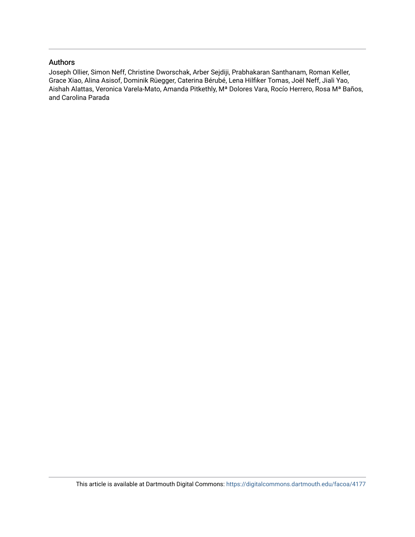### Authors

Joseph Ollier, Simon Neff, Christine Dworschak, Arber Sejdiji, Prabhakaran Santhanam, Roman Keller, Grace Xiao, Alina Asisof, Dominik Rüegger, Caterina Bérubé, Lena Hilfiker Tomas, Joël Neff, Jiali Yao, Aishah Alattas, Veronica Varela-Mato, Amanda Pitkethly, Mª Dolores Vara, Rocío Herrero, Rosa Mª Baños, and Carolina Parada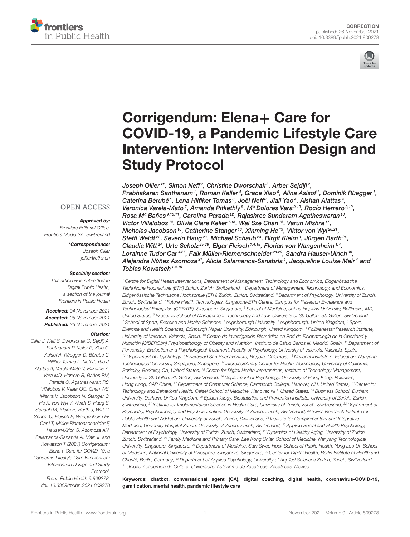



# Corrigendum: Elena+ Care for [COVID-19, a Pandemic Lifestyle Care](https://www.frontiersin.org/articles/10.3389/fpubh.2021.809278/full) Intervention: Intervention Design and Study Protocol

Joseph Ollier<sup>1\*</sup>, Simon Neff<sup>2</sup>, Christine Dworschak<sup>3</sup>, Arber Sejdiji<sup>2</sup>, Prabhakaran Santhanam1, Roman Keller<sup>4</sup>, Grace Xiao<sup>5</sup>, Alina Asisof1, Dominik Rüegger1, Caterina Bérubé  $^1$ , Lena Hilfiker Tomas $^6$ , Joël Neff $^6$ , Jiali Yao $^4$ , Aishah Alattas $^4$ , Veronica Varela-Mato<sup>7</sup>, Amanda Pitkethly<sup>8</sup>, Mª Dolores Vara<sup>9,10</sup>, Rocío Herrero<sup>9,10</sup>, Rosa Mª Baños 9,10,11, Carolina Parada <sup>12</sup>, Rajashree Sundaram Agatheswaran <sup>13</sup>, Victor Villalobos<sup>14</sup>, Olivia Clare Keller<sup>1,15</sup>, Wai Sze Chan<sup>16</sup>, Varun Mishra<sup>17</sup>, Nicholas Jacobson<sup>18</sup>, Catherine Stanger<sup>18</sup>, Xinming He<sup>19</sup>, Viktor von Wyl<sup>20,21</sup>, Steffi Weidt<sup>22</sup>, Severin Haug<sup>23</sup>, Michael Schaub<sup>23</sup>, Birgit Kleim<sup>3</sup>, Jürgen Barth<sup>24</sup>, Claudia Witt<sup>24</sup>, Urte Scholz<sup>25,26</sup>, Elgar Fleisch<sup>1,4,15</sup>, Florian von Wangenheim<sup>1,4</sup>, Lorainne Tudor Car<sup>4,27</sup>, Falk Müller-Riemenschneider<sup>28,29</sup>, Sandra Hauser-Ulrich <sup>30</sup>, Alejandra Núñez Asomoza $^{\mathfrak{sl}},$  Alicia Salamanca-Sanabria $^{\mathfrak{4}},$  Jacqueline Louise Mair $^{\mathfrak{4}}$  and Tobias Kowatsch<sup> $1,4,15$ </sup>

<sup>1</sup> Centre for Digital Health Interventions, Department of Management, Technology and Economics, Eidgenössische Technische Hochschule (ETH) Zurich, Zurich, Switzerland, <sup>2</sup> Department of Management, Technology, and Economics, Eidgenössische Technische Hochschule (ETH) Zurich, Zurich, Switzerland, <sup>3</sup> Department of Psychology, University of Zurich, Zurich, Switzerland, <sup>4</sup> Future Health Technologies, Singapore-ETH Centre, Campus for Research Excellence and Technological Enterprise (CREATE), Singapore, Singapore, <sup>5</sup> School of Medicine, Johns Hopkins University, Baltimore, MD, United States, <sup>6</sup> Executive School of Management, Technology and Law, University of St. Gallen, St. Gallen, Switzerland, <sup>7</sup> School of Sport, Exercise and Health Sciences, Loughborough University, Loughborough, United Kingdom, <sup>8</sup> Sport, Exercise and Health Sciences, Edinburgh Napier University, Edinburgh, United Kingdom, <sup>9</sup> Polibienestar Research Institute, University of Valencia, Valencia, Spain, <sup>10</sup> Centro de Investigación Biomédica en Red de Fisiopatología de la Obesidad y Nutrición (CIBERObn) Physiopathology of Obesity and Nutrition, Instituto de Salud Carlos III, Madrid, Spain, <sup>11</sup> Department of Personality, Evaluation and Psychological Treatment, Faculty of Psychology, University of Valencia, Valencia, Spain, <sup>12</sup> Department of Psychology, Universidad San Buenaventura, Bogotá, Colombia, <sup>13</sup> National Institute of Education, Nanyang Technological University, Singapore, Singapore, <sup>14</sup> Interdisciplinary Center for Health Workplaces, University of California, Berkeley, Berkeley, CA, United States, <sup>15</sup> Centre for Digital Health Interventions, Institute of Technology Management, University of St. Gallen, St. Gallen, Switzerland, <sup>16</sup> Department of Psychology, University of Hong Kong, Pokfulam, Hong Kong, SAR China, <sup>17</sup> Department of Computer Science, Dartmouth College, Hanover, NH, United States, <sup>18</sup> Center for Technology and Behavioral Health, Geisel School of Medicine, Hanover, NH, United States, <sup>19</sup> Business School, Durham University, Durham, United Kingdom, <sup>20</sup> Epidemiology, Biostatistics and Prevention Institute, University of Zurich, Zurich, Switzerland, <sup>21</sup> Institute for Implementation Science in Health Care, University of Zurich, Zurich, Switzerland, <sup>22</sup> Department of Psychiatry, Psychotherapy and Psychosomatics, University of Zurich, Zurich, Switzerland, <sup>23</sup> Swiss Research Institute for Public Health and Addiction, University of Zurich, Zurich, Switzerland, <sup>24</sup> Institute for Complementary and Integrative Medicine, University Hospital Zurich, University of Zurich, Zurich, Switzerland, <sup>25</sup> Applied Social and Health Psychology, Department of Psychology, University of Zurich, Zurich, Switzerland, <sup>26</sup> Dynamics of Healthy Aging, University of Zurich, Zurich, Switzerland, <sup>27</sup> Family Medicine and Primary Care, Lee Kong Chian School of Medicine, Nanyang Technological University, Singapore, Singapore, <sup>28</sup> Department of Medicine, Saw Swee Hock School of Public Health, Yong Loo Lin School of Medicine, National University of Singapore, Singapore, Singapore, <sup>29</sup> Center for Digital Health, Berlin Institute of Health and Charité, Berlin, Germany, <sup>30</sup> Department of Applied Psychology, University of Applied Sciences Zurich, Zurich, Switzerland, <sup>31</sup> Unidad Académica de Cultura, Universidad Autónoma de Zacatecas, Zacatecas, Mexico

Keywords: chatbot, conversational agent (CA), digital coaching, digital health, coronavirus-COVID-19, gamification, mental health, pandemic lifestyle care

#### **OPEN ACCESS**

Approved by: Frontiers Editorial Office, Frontiers Media SA, Switzerland

> \*Correspondence: Joseph Ollier [jollier@ethz.ch](mailto:jollier@ethz.ch)

#### Specialty section:

This article was submitted to Digital Public Health, a section of the journal Frontiers in Public Health

Received: 04 November 2021 Accepted: 05 November 2021 Published: 26 November 2021

#### Citation:

Ollier J, Neff S, Dworschak C, Sejdiji A, Santhanam P, Keller R, Xiao G, Asisof A, Rüegger D, Bérubé C, Hilfiker Tomas L, Neff J, Yao J, Alattas A, Varela-Mato V, Pitkethly A, Vara MD, Herrero R, Baños RM, Parada C, Agatheswaran RS, Villalobos V, Keller OC, Chan WS, Mishra V, Jacobson N, Stanger C, He X, von Wyl V, Weidt S, Haug S, Schaub M, Kleim B, Barth J, Witt C, Scholz U, Fleisch E, Wangenheim Fv, Car LT, Müller-Riemenschneider F, Hauser-Ulrich S, Asomoza AN Salamanca-Sanabria A, Mair JL and Kowatsch T (2021) Corrigendum: Elena+ Care for COVID-19, a Pandemic Lifestyle Care Intervention: Intervention Design and Study Protocol. Front. Public Health 9:809278. doi: [10.3389/fpubh.2021.809278](https://doi.org/10.3389/fpubh.2021.809278)